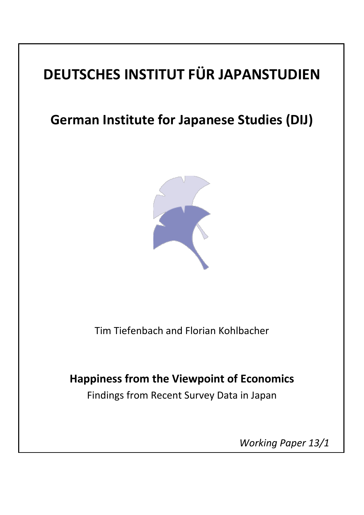# **DEUTSCHES INSTITUT FÜR JAPANSTUDIEN**

# **German Institute for Japanese Studies (DIJ)**



Tim Tiefenbach and Florian Kohlbacher

# **Happiness from the Viewpoint of Economics**

Findings from Recent Survey Data in Japan

 *Working Paper 13/1*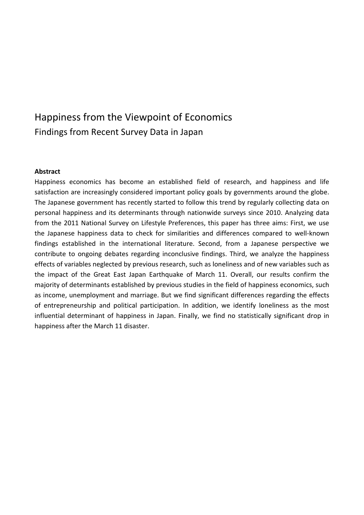# Happiness from the Viewpoint of Economics Findings from Recent Survey Data in Japan

#### **Abstract**

Happiness economics has become an established field of research, and happiness and life satisfaction are increasingly considered important policy goals by governments around the globe. The Japanese government has recently started to follow this trend by regularly collecting data on personal happiness and its determinants through nationwide surveys since 2010. Analyzing data from the 2011 National Survey on Lifestyle Preferences, this paper has three aims: First, we use the Japanese happiness data to check for similarities and differences compared to well-known findings established in the international literature. Second, from a Japanese perspective we contribute to ongoing debates regarding inconclusive findings. Third, we analyze the happiness effects of variables neglected by previous research, such as loneliness and of new variables such as the impact of the Great East Japan Earthquake of March 11. Overall, our results confirm the majority of determinants established by previous studies in the field of happiness economics, such as income, unemployment and marriage. But we find significant differences regarding the effects of entrepreneurship and political participation. In addition, we identify loneliness as the most influential determinant of happiness in Japan. Finally, we find no statistically significant drop in happiness after the March 11 disaster.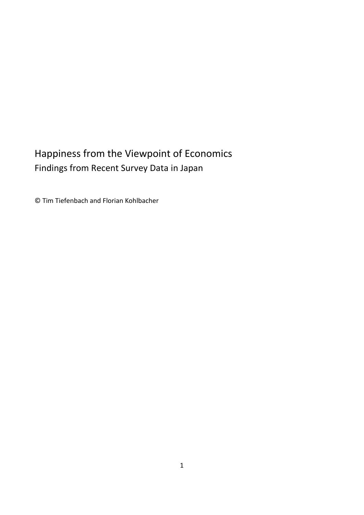# Happiness from the Viewpoint of Economics Findings from Recent Survey Data in Japan

© Tim Tiefenbach and Florian Kohlbacher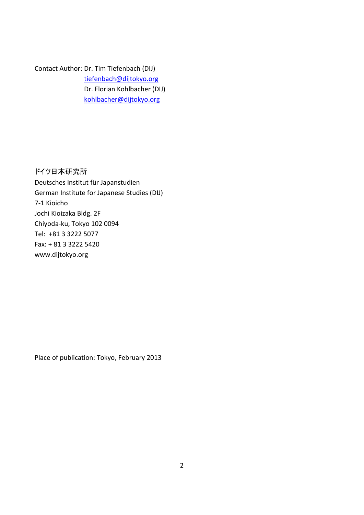Contact Author: Dr. Tim Tiefenbach (DIJ) [tiefenbach@dijtokyo.org](mailto:tiefenbach@dijtokyo.org) Dr. Florian Kohlbacher (DIJ) [kohlbacher@dijtokyo.org](mailto:kohlbacher@dijtokyo.org)

ドイツ日本研究所 Deutsches Institut für Japanstudien German Institute for Japanese Studies (DIJ) 7-1 Kioicho Jochi Kioizaka Bldg. 2F Chiyoda-ku, Tokyo 102 0094 Tel: +81 3 3222 5077 Fax: + 81 3 3222 5420 www.dijtokyo.org

Place of publication: Tokyo, February 2013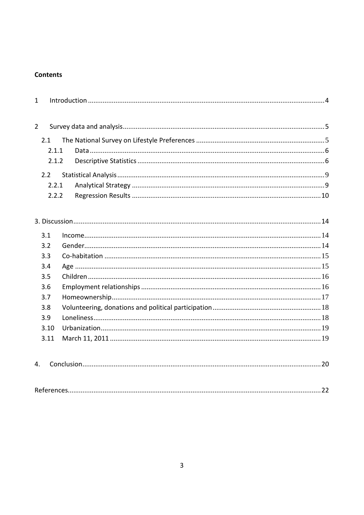# **Contents**

| $\mathbf{1}$   |       |  |  |  |  |  |
|----------------|-------|--|--|--|--|--|
| $\overline{2}$ |       |  |  |  |  |  |
|                | 2.1   |  |  |  |  |  |
|                | 2.1.1 |  |  |  |  |  |
|                | 2.1.2 |  |  |  |  |  |
|                | 2.2   |  |  |  |  |  |
|                | 2.2.1 |  |  |  |  |  |
|                | 2.2.2 |  |  |  |  |  |
|                |       |  |  |  |  |  |
|                |       |  |  |  |  |  |
|                | 3.1   |  |  |  |  |  |
|                | 3.2   |  |  |  |  |  |
|                | 3.3   |  |  |  |  |  |
|                | 3.4   |  |  |  |  |  |
|                | 3.5   |  |  |  |  |  |
|                | 3.6   |  |  |  |  |  |
|                | 3.7   |  |  |  |  |  |
|                | 3.8   |  |  |  |  |  |
|                | 3.9   |  |  |  |  |  |
|                | 3.10  |  |  |  |  |  |
|                | 3.11  |  |  |  |  |  |
| 4.             |       |  |  |  |  |  |
|                |       |  |  |  |  |  |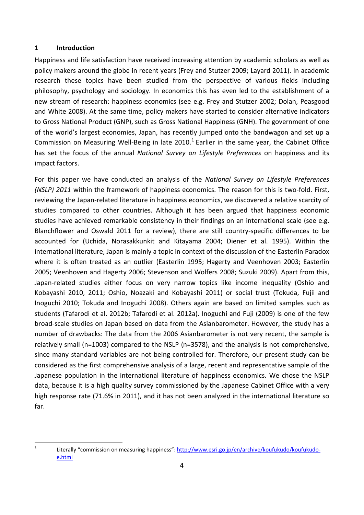#### <span id="page-5-0"></span>**1 Introduction**

Happiness and life satisfaction have received increasing attention by academic scholars as well as policy makers around the globe in recent years (Frey and Stutzer 2009; Layard 2011). In academic research these topics have been studied from the perspective of various fields including philosophy, psychology and sociology. In economics this has even led to the establishment of a new stream of research: happiness economics (see e.g. Frey and Stutzer 2002; Dolan, Peasgood and White 2008). At the same time, policy makers have started to consider alternative indicators to Gross National Product (GNP), such as Gross National Happiness (GNH). The government of one of the world's largest economies, Japan, has recently jumped onto the bandwagon and set up a Commission on Measuring Well-Being in late 20[1](#page-5-1)0.<sup>1</sup> Earlier in the same year, the Cabinet Office has set the focus of the annual *National Survey on Lifestyle Preferences* on happiness and its impact factors.

For this paper we have conducted an analysis of the *National Survey on Lifestyle Preferences (NSLP) 2011* within the framework of happiness economics. The reason for this is two-fold. First, reviewing the Japan-related literature in happiness economics, we discovered a relative scarcity of studies compared to other countries. Although it has been argued that happiness economic studies have achieved remarkable consistency in their findings on an international scale (see e.g. Blanchflower and Oswald 2011 for a review), there are still country-specific differences to be accounted for (Uchida, Norasakkunkit and Kitayama 2004; Diener et al. 1995). Within the international literature, Japan is mainly a topic in context of the discussion of the Easterlin Paradox where it is often treated as an outlier (Easterlin 1995; Hagerty and Veenhoven 2003; Easterlin 2005; Veenhoven and Hagerty 2006; Stevenson and Wolfers 2008; Suzuki 2009). Apart from this, Japan-related studies either focus on very narrow topics like income inequality (Oshio and Kobayashi 2010, 2011; Oshio, Noazaki and Kobayashi 2011) or social trust (Tokuda, Fujii and Inoguchi 2010; Tokuda and Inoguchi 2008). Others again are based on limited samples such as students (Tafarodi et al. 2012b; Tafarodi et al. 2012a). Inoguchi and Fuji (2009) is one of the few broad-scale studies on Japan based on data from the Asianbarometer. However, the study has a number of drawbacks: The data from the 2006 Asianbarometer is not very recent, the sample is relatively small (n=1003) compared to the NSLP (n=3578), and the analysis is not comprehensive, since many standard variables are not being controlled for. Therefore, our present study can be considered as the first comprehensive analysis of a large, recent and representative sample of the Japanese population in the international literature of happiness economics. We chose the NSLP data, because it is a high quality survey commissioned by the Japanese Cabinet Office with a very high response rate (71.6% in 2011), and it has not been analyzed in the international literature so far.

<span id="page-5-1"></span> <sup>1</sup> Literally "commission on measuring happiness": [http://www.esri.go.jp/en/archive/koufukudo/koufukudo](http://www.esri.go.jp/en/archive/koufukudo/koufukudo-%20%20%20e.html)[e.html](http://www.esri.go.jp/en/archive/koufukudo/koufukudo-%20%20%20e.html)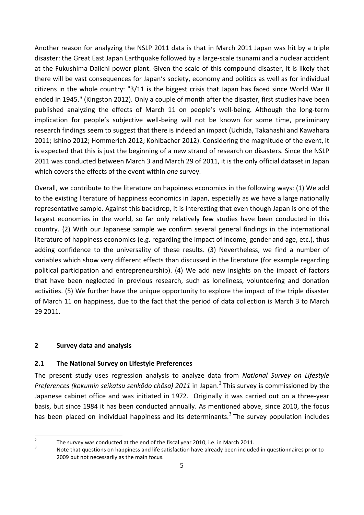Another reason for analyzing the NSLP 2011 data is that in March 2011 Japan was hit by a triple disaster: the Great East Japan Earthquake followed by a large-scale tsunami and a nuclear accident at the Fukushima Daiichi power plant. Given the scale of this compound disaster, it is likely that there will be vast consequences for Japan's society, economy and politics as well as for individual citizens in the whole country: "3/11 is the biggest crisis that Japan has faced since World War II ended in 1945." (Kingston 2012). Only a couple of month after the disaster, first studies have been published analyzing the effects of March 11 on people's well-being. Although the long-term implication for people's subjective well-being will not be known for some time, preliminary research findings seem to suggest that there is indeed an impact (Uchida, Takahashi and Kawahara 2011; Ishino 2012; Hommerich 2012; Kohlbacher 2012). Considering the magnitude of the event, it is expected that this is just the beginning of a new strand of research on disasters. Since the NSLP 2011 was conducted between March 3 and March 29 of 2011, it is the only official dataset in Japan which covers the effects of the event within *one* survey.

Overall, we contribute to the literature on happiness economics in the following ways: (1) We add to the existing literature of happiness economics in Japan, especially as we have a large nationally representative sample. Against this backdrop, it is interesting that even though Japan is one of the largest economies in the world, so far only relatively few studies have been conducted in this country. (2) With our Japanese sample we confirm several general findings in the international literature of happiness economics (e.g. regarding the impact of income, gender and age, etc.), thus adding confidence to the universality of these results. (3) Nevertheless, we find a number of variables which show very different effects than discussed in the literature (for example regarding political participation and entrepreneurship). (4) We add new insights on the impact of factors that have been neglected in previous research, such as loneliness, volunteering and donation activities. (5) We further have the unique opportunity to explore the impact of the triple disaster of March 11 on happiness, due to the fact that the period of data collection is March 3 to March 29 2011.

## <span id="page-6-0"></span>**2 Survey data and analysis**

## <span id="page-6-1"></span>**2.1 The National Survey on Lifestyle Preferences**

The present study uses regression analysis to analyze data from *National Survey on Lifestyle Preferences (kokumin seikatsu senkôdo chôsa) 2011* in Japan.[2](#page-6-2) This survey is commissioned by the Japanese cabinet office and was initiated in 1972. Originally it was carried out on a three-year basis, but since 1984 it has been conducted annually. As mentioned above, since 2010, the focus has been placed on individual happiness and its determinants.<sup>[3](#page-6-3)</sup> The survey population includes

<span id="page-6-3"></span>

<span id="page-6-2"></span><sup>&</sup>lt;sup>2</sup> The survey was conducted at the end of the fiscal year 2010, i.e. in March 2011.<br><sup>3</sup> Note that questions on happiness and life satisfaction have already been included in questionnaires prior to 2009 but not necessarily as the main focus.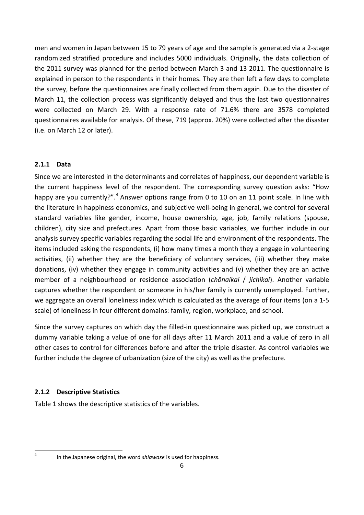men and women in Japan between 15 to 79 years of age and the sample is generated via a 2-stage randomized stratified procedure and includes 5000 individuals. Originally, the data collection of the 2011 survey was planned for the period between March 3 and 13 2011. The questionnaire is explained in person to the respondents in their homes. They are then left a few days to complete the survey, before the questionnaires are finally collected from them again. Due to the disaster of March 11, the collection process was significantly delayed and thus the last two questionnaires were collected on March 29. With a response rate of 71.6% there are 3578 completed questionnaires available for analysis. Of these, 719 (approx. 20%) were collected after the disaster (i.e. on March 12 or later).

## <span id="page-7-0"></span>**2.1.1 Data**

Since we are interested in the determinants and correlates of happiness, our dependent variable is the current happiness level of the respondent. The corresponding survey question asks: "How happy are you currently?".<sup>[4](#page-7-2)</sup> Answer options range from 0 to 10 on an 11 point scale. In line with the literature in happiness economics, and subjective well-being in general, we control for several standard variables like gender, income, house ownership, age, job, family relations (spouse, children), city size and prefectures. Apart from those basic variables, we further include in our analysis survey specific variables regarding the social life and environment of the respondents. The items included asking the respondents, (i) how many times a month they a engage in volunteering activities, (ii) whether they are the beneficiary of voluntary services, (iii) whether they make donations, (iv) whether they engage in community activities and (v) whether they are an active member of a neighbourhood or residence association (*chōnaikai* / *jichikai*). Another variable captures whether the respondent or someone in his/her family is currently unemployed. Further, we aggregate an overall loneliness index which is calculated as the average of four items (on a 1-5 scale) of loneliness in four different domains: family, region, workplace, and school.

Since the survey captures on which day the filled-in questionnaire was picked up, we construct a dummy variable taking a value of one for all days after 11 March 2011 and a value of zero in all other cases to control for differences before and after the triple disaster. As control variables we further include the degree of urbanization (size of the city) as well as the prefecture.

# <span id="page-7-1"></span>**2.1.2 Descriptive Statistics**

Table 1 shows the descriptive statistics of the variables.

<span id="page-7-2"></span>

 <sup>4</sup> In the Japanese original, the word *shiawase* is used for happiness.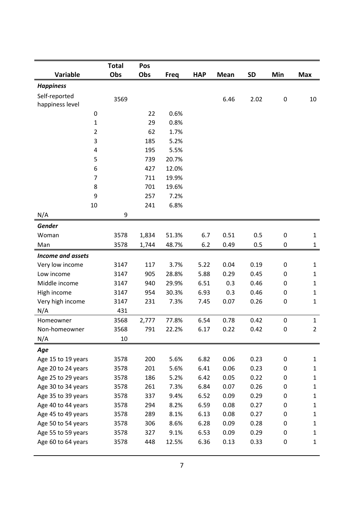|                          | <b>Total</b> | Pos   |             |            |             |           |             |                |
|--------------------------|--------------|-------|-------------|------------|-------------|-----------|-------------|----------------|
| <b>Variable</b>          | Obs          | Obs   | <b>Freq</b> | <b>HAP</b> | <b>Mean</b> | <b>SD</b> | Min         | <b>Max</b>     |
| <b>Happiness</b>         |              |       |             |            |             |           |             |                |
| Self-reported            |              |       |             |            |             |           |             |                |
| happiness level          | 3569         |       |             |            | 6.46        | 2.02      | $\pmb{0}$   | 10             |
| $\pmb{0}$                |              | 22    | 0.6%        |            |             |           |             |                |
| $\mathbf 1$              |              | 29    | 0.8%        |            |             |           |             |                |
| $\overline{2}$           |              | 62    | 1.7%        |            |             |           |             |                |
| 3                        |              | 185   | 5.2%        |            |             |           |             |                |
| 4                        |              | 195   | 5.5%        |            |             |           |             |                |
| 5                        |              | 739   | 20.7%       |            |             |           |             |                |
| 6                        |              | 427   | 12.0%       |            |             |           |             |                |
| $\overline{7}$           |              | 711   | 19.9%       |            |             |           |             |                |
| 8                        |              | 701   | 19.6%       |            |             |           |             |                |
| 9                        |              | 257   | 7.2%        |            |             |           |             |                |
| 10                       |              | 241   | 6.8%        |            |             |           |             |                |
| N/A                      | 9            |       |             |            |             |           |             |                |
| <b>Gender</b>            |              |       |             |            |             |           |             |                |
| Woman                    | 3578         | 1,834 | 51.3%       | 6.7        | 0.51        | 0.5       | $\mathbf 0$ | $\mathbf{1}$   |
| Man                      | 3578         | 1,744 | 48.7%       | 6.2        | 0.49        | 0.5       | $\mathbf 0$ | $\mathbf{1}$   |
| <b>Income and assets</b> |              |       |             |            |             |           |             |                |
| Very low income          | 3147         | 117   | 3.7%        | 5.22       | 0.04        | 0.19      | $\mathbf 0$ | $\mathbf 1$    |
| Low income               | 3147         | 905   | 28.8%       | 5.88       | 0.29        | 0.45      | $\mathbf 0$ | $\mathbf 1$    |
| Middle income            | 3147         | 940   | 29.9%       | 6.51       | 0.3         | 0.46      | 0           | $\mathbf{1}$   |
| High income              | 3147         | 954   | 30.3%       | 6.93       | 0.3         | 0.46      | $\mathbf 0$ | $\mathbf{1}$   |
| Very high income         | 3147         | 231   | 7.3%        | 7.45       | 0.07        | 0.26      | $\pmb{0}$   | $\mathbf{1}$   |
| N/A                      | 431          |       |             |            |             |           |             |                |
| Homeowner                | 3568         | 2,777 | 77.8%       | 6.54       | 0.78        | 0.42      | 0           | $\mathbf{1}$   |
| Non-homeowner            | 3568         | 791   | 22.2%       | 6.17       | 0.22        | 0.42      | $\mathbf 0$ | $\overline{2}$ |
| N/A                      | 10           |       |             |            |             |           |             |                |
| Age                      |              |       |             |            |             |           |             |                |
| Age 15 to 19 years       | 3578         | 200   | 5.6%        | 6.82       | 0.06        | 0.23      | 0           | $\mathbf{1}$   |
| Age 20 to 24 years       | 3578         | 201   | 5.6%        | 6.41       | 0.06        | 0.23      | 0           | $\mathbf{1}$   |
| Age 25 to 29 years       | 3578         | 186   | 5.2%        | 6.42       | 0.05        | 0.22      | 0           | $\mathbf{1}$   |
| Age 30 to 34 years       | 3578         | 261   | 7.3%        | 6.84       | 0.07        | 0.26      | 0           | $\mathbf{1}$   |
| Age 35 to 39 years       | 3578         | 337   | 9.4%        | 6.52       | 0.09        | 0.29      | 0           | $\mathbf{1}$   |
| Age 40 to 44 years       | 3578         | 294   | 8.2%        | 6.59       | 0.08        | 0.27      | 0           | $\mathbf{1}$   |
| Age 45 to 49 years       | 3578         | 289   | 8.1%        | 6.13       | 0.08        | 0.27      | 0           | $\mathbf{1}$   |
| Age 50 to 54 years       | 3578         | 306   | 8.6%        | 6.28       | 0.09        | 0.28      | 0           | $\mathbf{1}$   |
| Age 55 to 59 years       | 3578         | 327   | 9.1%        | 6.53       | 0.09        | 0.29      | 0           | $\mathbf{1}$   |
| Age 60 to 64 years       | 3578         | 448   | 12.5%       | 6.36       | 0.13        | 0.33      | 0           | $\mathbf{1}$   |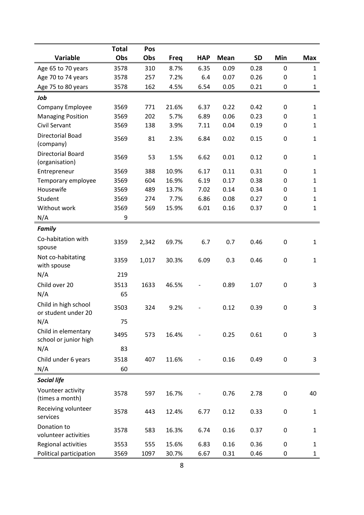|                                              | <b>Total</b> | Pos   |             |            |             |           |                  |              |
|----------------------------------------------|--------------|-------|-------------|------------|-------------|-----------|------------------|--------------|
| Variable                                     | Obs          | Obs   | <b>Freq</b> | <b>HAP</b> | <b>Mean</b> | <b>SD</b> | Min              | <b>Max</b>   |
| Age 65 to 70 years                           | 3578         | 310   | 8.7%        | 6.35       | 0.09        | 0.28      | $\mathbf 0$      | $\mathbf{1}$ |
| Age 70 to 74 years                           | 3578         | 257   | 7.2%        | 6.4        | 0.07        | 0.26      | $\mathbf 0$      | $\mathbf{1}$ |
| Age 75 to 80 years                           | 3578         | 162   | 4.5%        | 6.54       | 0.05        | 0.21      | $\pmb{0}$        | $\mathbf{1}$ |
| Job                                          |              |       |             |            |             |           |                  |              |
| <b>Company Employee</b>                      | 3569         | 771   | 21.6%       | 6.37       | 0.22        | 0.42      | $\mathbf 0$      | $\mathbf{1}$ |
| <b>Managing Position</b>                     | 3569         | 202   | 5.7%        | 6.89       | 0.06        | 0.23      | $\pmb{0}$        | $\mathbf{1}$ |
| Civil Servant                                | 3569         | 138   | 3.9%        | 7.11       | 0.04        | 0.19      | 0                | $\mathbf{1}$ |
| Directorial Boad<br>(company)                | 3569         | 81    | 2.3%        | 6.84       | 0.02        | 0.15      | $\pmb{0}$        | $\mathbf{1}$ |
| <b>Directorial Board</b><br>(organisation)   | 3569         | 53    | 1.5%        | 6.62       | 0.01        | 0.12      | 0                | $\mathbf{1}$ |
| Entrepreneur                                 | 3569         | 388   | 10.9%       | 6.17       | 0.11        | 0.31      | 0                | $\mathbf{1}$ |
| Temporary employee                           | 3569         | 604   | 16.9%       | 6.19       | 0.17        | 0.38      | 0                | $\mathbf{1}$ |
| Housewife                                    | 3569         | 489   | 13.7%       | 7.02       | 0.14        | 0.34      | 0                | $\mathbf{1}$ |
| Student                                      | 3569         | 274   | 7.7%        | 6.86       | 0.08        | 0.27      | 0                | $\mathbf 1$  |
| Without work                                 | 3569         | 569   | 15.9%       | 6.01       | 0.16        | 0.37      | $\pmb{0}$        | $\mathbf{1}$ |
| N/A                                          | 9            |       |             |            |             |           |                  |              |
| <b>Family</b>                                |              |       |             |            |             |           |                  |              |
| Co-habitation with<br>spouse                 | 3359         | 2,342 | 69.7%       | 6.7        | 0.7         | 0.46      | 0                | $\mathbf 1$  |
| Not co-habitating<br>with spouse             | 3359         | 1,017 | 30.3%       | 6.09       | 0.3         | 0.46      | 0                | $\mathbf 1$  |
| N/A                                          | 219          |       |             |            |             |           |                  |              |
| Child over 20                                | 3513         | 1633  | 46.5%       |            | 0.89        | 1.07      | $\pmb{0}$        | 3            |
| N/A                                          | 65           |       |             |            |             |           |                  |              |
| Child in high school<br>or student under 20  | 3503         | 324   | 9.2%        |            | 0.12        | 0.39      | $\pmb{0}$        | 3            |
| N/A                                          | 75           |       |             |            |             |           |                  |              |
| Child in elementary<br>school or junior high | 3495         | 573   | 16.4%       |            | 0.25        | 0.61      | $\boldsymbol{0}$ | 3            |
| N/A                                          | 83           |       |             |            |             |           |                  |              |
| Child under 6 years                          | 3518         | 407   | 11.6%       |            | 0.16        | 0.49      | 0                | 3            |
| N/A                                          | 60           |       |             |            |             |           |                  |              |
| <b>Social life</b>                           |              |       |             |            |             |           |                  |              |
| Vounteer activity<br>(times a month)         | 3578         | 597   | 16.7%       |            | 0.76        | 2.78      | 0                | 40           |
| Receiving volunteer<br>services              | 3578         | 443   | 12.4%       | 6.77       | 0.12        | 0.33      | 0                | $\mathbf{1}$ |
| Donation to<br>volunteer activities          | 3578         | 583   | 16.3%       | 6.74       | 0.16        | 0.37      | 0                | $\mathbf{1}$ |
| Regional activities                          | 3553         | 555   | 15.6%       | 6.83       | 0.16        | 0.36      | 0                | $\mathbf{1}$ |
| Political participation                      | 3569         | 1097  | 30.7%       | 6.67       | 0.31        | 0.46      | 0                | $\mathbf{1}$ |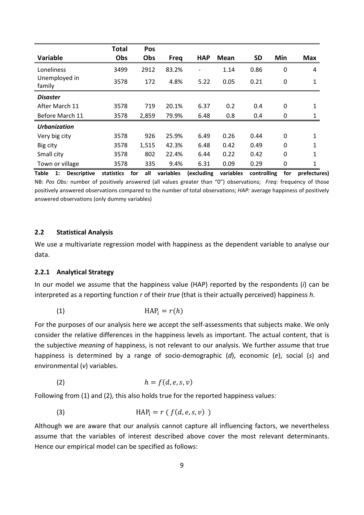|                         | <b>Total</b> | Pos   |             |            |             |           |              |              |
|-------------------------|--------------|-------|-------------|------------|-------------|-----------|--------------|--------------|
| <b>Variable</b>         | Obs          | Obs   | <b>Freq</b> | <b>HAP</b> | <b>Mean</b> | <b>SD</b> | Min          | <b>Max</b>   |
| Loneliness              | 3499         | 2912  | 83.2%       |            | 1.14        | 0.86      | 0            | 4            |
| Unemployed in<br>family | 3578         | 172   | 4.8%        | 5.22       | 0.05        | 0.21      | 0            | 1            |
| <b>Disaster</b>         |              |       |             |            |             |           |              |              |
| After March 11          | 3578         | 719   | 20.1%       | 6.37       | 0.2         | 0.4       | 0            | 1            |
| Before March 11         | 3578         | 2,859 | 79.9%       | 6.48       | 0.8         | 0.4       | 0            | 1            |
| <b>Urbanization</b>     |              |       |             |            |             |           |              |              |
| Very big city           | 3578         | 926   | 25.9%       | 6.49       | 0.26        | 0.44      | $\mathbf{0}$ | 1            |
| Big city                | 3578         | 1,515 | 42.3%       | 6.48       | 0.42        | 0.49      | $\mathbf{0}$ | $\mathbf{1}$ |
| Small city              | 3578         | 802   | 22.4%       | 6.44       | 0.22        | 0.42      | 0            | 1            |
| Town or village         | 3578         | 335   | 9.4%        | 6.31       | 0.09        | 0.29      | 0            | 1            |

**Table 1: Descriptive statistics for all variables (excluding variables controlling for prefectures)** NB: *Pos Obs:* number of positively answered (all values greater than "0") observations; *Freq:* frequency of those positively answered observations compared to the number of total observations; *HAP:* average happiness of positively answered observations (only dummy variables)

#### <span id="page-10-0"></span>**2.2 Statistical Analysis**

We use a multivariate regression model with happiness as the dependent variable to analyse our data.

#### <span id="page-10-1"></span>**2.2.1 Analytical Strategy**

In our model we assume that the happiness value (HAP) reported by the respondents (*i*) can be interpreted as a reporting function *r* of their *true* (that is their actually perceived) happiness *h*.

$$
(1) \t\t HAPi = r(h)
$$

For the purposes of our analysis here we accept the self-assessments that subjects make. We only consider the relative differences in the happiness levels as important. The actual content, that is the subjective *meaning* of happiness, is not relevant to our analysis. We further assume that true happiness is determined by a range of socio-demographic (*d*), economic (*e*), social (*s*) and environmental (*v*) variables.

(2)  $h = f(d, e, s, v)$ 

Following from (1) and (2), this also holds true for the reported happiness values:

(3) 
$$
HAP_i = r(f(d, e, s, v))
$$

Although we are aware that our analysis cannot capture all influencing factors, we nevertheless assume that the variables of interest described above cover the most relevant determinants. Hence our empirical model can be specified as follows: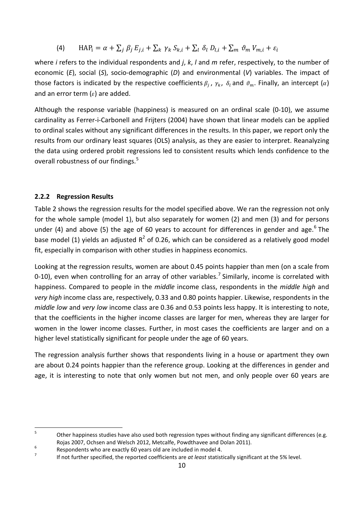(4)  $\text{HAP}_i = \alpha + \sum_j \beta_j E_{j,i} + \sum_k \gamma_k S_{k,i} + \sum_l \delta_l D_{l,i} + \sum_m \vartheta_m V_{m,i} + \varepsilon_i$ 

where *i* refers to the individual respondents and *j*, *k*, *l* and *m* refer, respectively, to the number of economic (*E*), social (*S*), socio-demographic (*D*) and environmental (*V*) variables. The impact of those factors is indicated by the respective coefficients  $\beta_i$ ,  $\gamma_k$ ,  $\delta_i$  and  $\vartheta_m$ . Finally, an intercept ( $\alpha$ ) and an error term ( $\varepsilon$ ) are added.

Although the response variable (happiness) is measured on an ordinal scale (0-10), we assume cardinality as Ferrer-i-Carbonell and Frijters (2004) have shown that linear models can be applied to ordinal scales without any significant differences in the results. In this paper, we report only the results from our ordinary least squares (OLS) analysis, as they are easier to interpret. Reanalyzing the data using ordered probit regressions led to consistent results which lends confidence to the overall robustness of our findings.<sup>[5](#page-11-1)</sup>

## <span id="page-11-0"></span>**2.2.2 Regression Results**

Table 2 shows the regression results for the model specified above. We ran the regression not only for the whole sample (model 1), but also separately for women (2) and men (3) and for persons under (4) and above (5) the age of [6](#page-11-2)0 years to account for differences in gender and age.<sup>6</sup> The base model (1) yields an adjusted  $R^2$  of 0.26, which can be considered as a relatively good model fit, especially in comparison with other studies in happiness economics.

Looking at the regression results, women are about 0.45 points happier than men (on a scale from 0-10), even when controlling for an array of other variables.<sup>[7](#page-11-3)</sup> Similarly, income is correlated with happiness. Compared to people in the *middle* income class, respondents in the *middle high* and *very high* income class are, respectively, 0.33 and 0.80 points happier. Likewise, respondents in the *middle low* and *very low* income class are 0.36 and 0.53 points less happy. It is interesting to note, that the coefficients in the higher income classes are larger for men, whereas they are larger for women in the lower income classes. Further, in most cases the coefficients are larger and on a higher level statistically significant for people under the age of 60 years.

The regression analysis further shows that respondents living in a house or apartment they own are about 0.24 points happier than the reference group. Looking at the differences in gender and age, it is interesting to note that only women but not men, and only people over 60 years are

<span id="page-11-1"></span><sup>&</sup>lt;sup>5</sup> Other happiness studies have also used both regression types without finding any significant differences (e.g.

<span id="page-11-3"></span><span id="page-11-2"></span>

Rojas 2007, Ochsen and Welsch 2012, Metcalfe, Powdthavee and Dolan 2011).<br>Respondents who are exactly 60 years old are included in model 4.<br>If not further specified, the reported coefficients are *at least* statistically s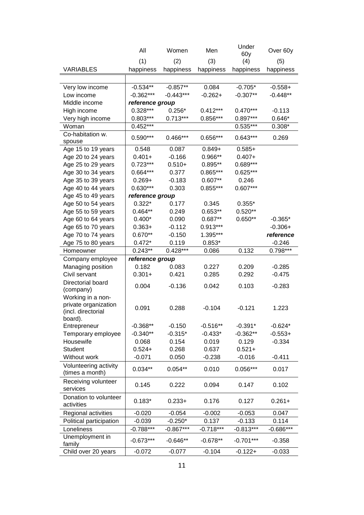|                         | All             | Women       | Men         | Under<br>60y | Over 60y    |
|-------------------------|-----------------|-------------|-------------|--------------|-------------|
|                         | (1)             | (2)         | (3)         | (4)          | (5)         |
| <b>VARIABLES</b>        | happiness       | happiness   | happiness   | happiness    | happiness   |
|                         |                 |             |             |              |             |
| Very low income         | $-0.534**$      | $-0.857**$  | 0.084       | $-0.705*$    | $-0.558+$   |
| Low income              | $-0.362***$     | $-0.443***$ | $-0.262+$   | $-0.307**$   | $-0.448**$  |
| Middle income           | reference group |             |             |              |             |
| High income             | $0.328***$      | $0.256*$    | $0.412***$  | 0.470***     | $-0.113$    |
| Very high income        | $0.803***$      | $0.713***$  | 0.856***    | $0.897***$   | $0.646*$    |
| Woman                   | $0.452***$      |             |             | 0.535***     | $0.308*$    |
| Co-habitation w.        |                 |             |             |              |             |
| spouse                  | $0.590***$      | $0.466***$  | 0.656***    | $0.643***$   | 0.269       |
| Age 15 to 19 years      | 0.548           | 0.087       | $0.849+$    | $0.585+$     |             |
| Age 20 to 24 years      | $0.401 +$       | $-0.166$    | 0.966**     | $0.407 +$    |             |
| Age 25 to 29 years      | $0.723***$      | $0.510+$    | $0.895**$   | 0.689***     |             |
| Age 30 to 34 years      | 0.664***        | 0.377       | 0.865***    | $0.625***$   |             |
| Age 35 to 39 years      | $0.269 +$       | $-0.183$    | $0.607**$   | 0.246        |             |
| Age 40 to 44 years      | $0.630***$      | 0.303       | 0.855***    | $0.607***$   |             |
| Age 45 to 49 years      | reference group |             |             |              |             |
| Age 50 to 54 years      | $0.322*$        | 0.177       | 0.345       | $0.355*$     |             |
| Age 55 to 59 years      | $0.464**$       | 0.249       | $0.653**$   | $0.520**$    |             |
| Age 60 to 64 years      | $0.400*$        | 0.090       | 0.687**     | $0.650**$    | $-0.365*$   |
| Age 65 to 70 years      | $0.363+$        | $-0.112$    | 0.913***    |              | $-0.306+$   |
| Age 70 to 74 years      | $0.670**$       | $-0.150$    | 1.395***    |              | reference   |
| Age 75 to 80 years      | $0.472*$        | 0.119       | $0.853*$    |              | $-0.246$    |
| Homeowner               | $0.243**$       | $0.428***$  | 0.086       | 0.132        | $0.798***$  |
| Company employee        | reference group |             |             |              |             |
| Managing position       | 0.182           | 0.083       | 0.227       | 0.209        | $-0.285$    |
| Civil servant           | $0.301 +$       | 0.421       | 0.285       | 0.292        | $-0.475$    |
| Directorial board       | 0.004           | $-0.136$    | 0.042       | 0.103        | $-0.283$    |
| (company)               |                 |             |             |              |             |
| Working in a non-       |                 |             |             |              |             |
| private organization    | 0.091           | 0.288       | $-0.104$    | $-0.121$     | 1.223       |
| (incl. directorial      |                 |             |             |              |             |
| board).<br>Entrepreneur | $-0.368**$      | $-0.150$    | $-0.516**$  | $-0.391*$    | $-0.624*$   |
| Temporary employee      | $-0.340**$      | $-0.315*$   | $-0.433*$   | $-0.362**$   | $-0.553+$   |
| Housewife               | 0.068           | 0.154       | 0.019       | 0.129        | $-0.334$    |
| Student                 | $0.524+$        | 0.268       | 0.637       | $0.521 +$    |             |
| Without work            | $-0.071$        | 0.050       | $-0.238$    | $-0.016$     | $-0.411$    |
| Volunteering activity   |                 |             |             |              |             |
| (times a month)         | $0.034**$       | $0.054**$   | 0.010       | $0.056***$   | 0.017       |
| Receiving volunteer     |                 |             |             |              |             |
| services                | 0.145           | 0.222       | 0.094       | 0.147        | 0.102       |
| Donation to volunteer   |                 |             |             |              |             |
| activities              | $0.183*$        | $0.233 +$   | 0.176       | 0.127        | $0.261 +$   |
| Regional activities     | $-0.020$        | $-0.054$    | $-0.002$    | $-0.053$     | 0.047       |
| Political participation | $-0.039$        | $-0.250*$   | 0.137       | $-0.133$     | 0.114       |
| Loneliness              | $-0.788***$     | $-0.867***$ | $-0.718***$ | $-0.813***$  | $-0.686***$ |
| Unemployment in         |                 |             |             |              |             |
| family                  | $-0.673***$     | $-0.646**$  | $-0.678**$  | $-0.701***$  | $-0.358$    |
| Child over 20 years     | $-0.072$        | $-0.077$    | $-0.104$    | $-0.122+$    | $-0.033$    |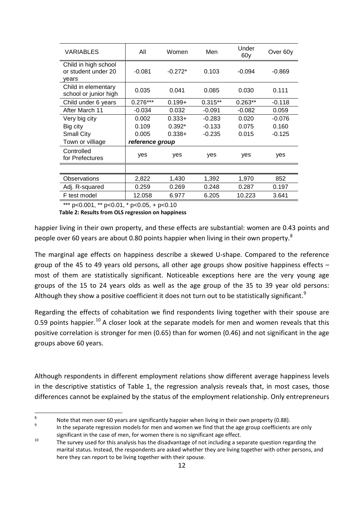| VARIABLES                                            | All             | Women     | Men       | Under<br>60y | Over 60y |  |
|------------------------------------------------------|-----------------|-----------|-----------|--------------|----------|--|
| Child in high school<br>or student under 20<br>years | $-0.081$        | $-0.272*$ | 0.103     | $-0.094$     | $-0.869$ |  |
| Child in elementary<br>school or junior high         | 0.035           | 0.041     | 0.085     | 0.030        | 0.111    |  |
| Child under 6 years                                  | $0.276***$      | $0.199 +$ | $0.315**$ | $0.263**$    | $-0.118$ |  |
| After March 11                                       | $-0.034$        | 0.032     | $-0.091$  | $-0.082$     | 0.059    |  |
| Very big city                                        | 0.002           | $0.333+$  | $-0.283$  | 0.020        | $-0.076$ |  |
| Big city                                             | 0.109           | $0.392*$  | $-0.133$  | 0.075        | 0.160    |  |
| <b>Small City</b>                                    | 0.005           | $0.338+$  | $-0.235$  | 0.015        | $-0.125$ |  |
| Town or villiage                                     | reference group |           |           |              |          |  |
| Controlled<br>for Prefectures                        | yes             | yes       | yes       | yes          | yes      |  |
|                                                      |                 |           |           |              |          |  |
| <b>Observations</b>                                  | 2,822           | 1,430     | 1,392     | 1,970        | 852      |  |
| Adj. R-squared                                       | 0.259           | 0.269     | 0.248     | 0.287        | 0.197    |  |
| F test model                                         | 12.058          | 6.977     | 6.205     | 10.223       | 3.641    |  |

\*\*\* p<0.001, \*\* p<0.01, \* p<0.05, + p<0.10

**Table 2: Results from OLS regression on happiness**

happier living in their own property, and these effects are substantial: women are 0.43 points and people over 60 years are about 0.[8](#page-13-0)0 points happier when living in their own property.<sup>8</sup>

The marginal age effects on happiness describe a skewed U-shape. Compared to the reference group of the 45 to 49 years old persons, all other age groups show positive happiness effects  $$ most of them are statistically significant. Noticeable exceptions here are the very young age groups of the 15 to 24 years olds as well as the age group of the 35 to 39 year old persons: Although they show a positive coefficient it does not turn out to be statistically significant.<sup>[9](#page-13-1)</sup>

Regarding the effects of cohabitation we find respondents living together with their spouse are 0.59 points happier.<sup>[10](#page-13-2)</sup> A closer look at the separate models for men and women reveals that this positive correlation is stronger for men (0.65) than for women (0.46) and not significant in the age groups above 60 years.

Although respondents in different employment relations show different average happiness levels in the descriptive statistics of Table 1, the regression analysis reveals that, in most cases, those differences cannot be explained by the status of the employment relationship. Only entrepreneurs

<span id="page-13-1"></span><span id="page-13-0"></span><sup>8</sup> Note that men over 60 years are significantly happier when living in their own property (0.88).<br>In the separate regression models for men and women we find that the age group coefficients are only

<span id="page-13-2"></span>significant in the case of men, for women there is no significant age effect.<br><sup>10</sup> The survey used for this analysis has the disadvantage of not including a separate question regarding the marital status. Instead, the respondents are asked whether they are living together with other persons, and here they can report to be living together with their spouse.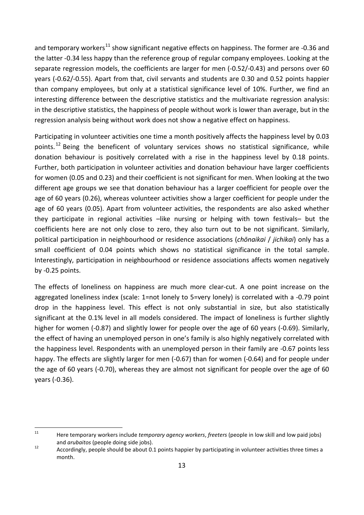and temporary workers<sup>[11](#page-14-0)</sup> show significant negative effects on happiness. The former are -0.36 and the latter -0.34 less happy than the reference group of regular company employees. Looking at the separate regression models, the coefficients are larger for men (-0.52/-0.43) and persons over 60 years (-0.62/-0.55). Apart from that, civil servants and students are 0.30 and 0.52 points happier than company employees, but only at a statistical significance level of 10%. Further, we find an interesting difference between the descriptive statistics and the multivariate regression analysis: in the descriptive statistics, the happiness of people without work is lower than average, but in the regression analysis being without work does not show a negative effect on happiness.

Participating in volunteer activities one time a month positively affects the happiness level by 0.03 points.<sup>[12](#page-14-1)</sup> Being the beneficent of voluntary services shows no statistical significance, while donation behaviour is positively correlated with a rise in the happiness level by 0.18 points. Further, both participation in volunteer activities and donation behaviour have larger coefficients for women (0.05 and 0.23) and their coefficient is not significant for men. When looking at the two different age groups we see that donation behaviour has a larger coefficient for people over the age of 60 years (0.26), whereas volunteer activities show a larger coefficient for people under the age of 60 years (0.05). Apart from volunteer activities, the respondents are also asked whether they participate in regional activities –like nursing or helping with town festivals– but the coefficients here are not only close to zero, they also turn out to be not significant. Similarly, political participation in neighbourhood or residence associations (*chōnaikai* / *jichikai*) only has a small coefficient of 0.04 points which shows no statistical significance in the total sample. Interestingly, participation in neighbourhood or residence associations affects women negatively by -0.25 points.

The effects of loneliness on happiness are much more clear-cut. A one point increase on the aggregated loneliness index (scale: 1=not lonely to 5=very lonely) is correlated with a -0.79 point drop in the happiness level. This effect is not only substantial in size, but also statistically significant at the 0.1% level in all models considered. The impact of loneliness is further slightly higher for women (-0.87) and slightly lower for people over the age of 60 years (-0.69). Similarly, the effect of having an unemployed person in one's family is also highly negatively correlated with the happiness level. Respondents with an unemployed person in their family are -0.67 points less happy. The effects are slightly larger for men (-0.67) than for women (-0.64) and for people under the age of 60 years (-0.70), whereas they are almost not significant for people over the age of 60 years (-0.36).

<span id="page-14-0"></span> <sup>11</sup> Here temporary workers include *temporary agency workers*, *freeters* (people in low skill and low paid jobs) and *arubaitos* (people doing side jobs).<br><sup>12</sup> Accordingly, people should be about 0.1 points happier by participating in volunteer activities three times a

<span id="page-14-1"></span>month.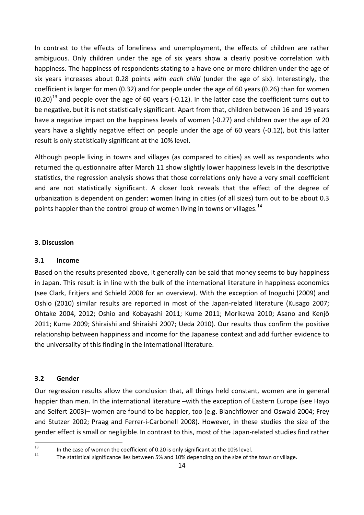In contrast to the effects of loneliness and unemployment, the effects of children are rather ambiguous. Only children under the age of six years show a clearly positive correlation with happiness. The happiness of respondents stating to a have one or more children under the age of six years increases about 0.28 points *with each child* (under the age of six). Interestingly, the coefficient is larger for men (0.32) and for people under the age of 60 years (0.26) than for women  $(0.20)$ <sup>[13](#page-15-3)</sup> and people over the age of 60 years (-0.12). In the latter case the coefficient turns out to be negative, but it is not statistically significant. Apart from that, children between 16 and 19 years have a negative impact on the happiness levels of women (-0.27) and children over the age of 20 years have a slightly negative effect on people under the age of 60 years (-0.12), but this latter result is only statistically significant at the 10% level.

Although people living in towns and villages (as compared to cities) as well as respondents who returned the questionnaire after March 11 show slightly lower happiness levels in the descriptive statistics, the regression analysis shows that those correlations only have a very small coefficient and are not statistically significant. A closer look reveals that the effect of the degree of urbanization is dependent on gender: women living in cities (of all sizes) turn out to be about 0.3 points happier than the control group of women living in towns or villages.<sup>[14](#page-15-4)</sup>

#### <span id="page-15-0"></span>**3. Discussion**

#### <span id="page-15-1"></span>**3.1 Income**

Based on the results presented above, it generally can be said that money seems to buy happiness in Japan. This result is in line with the bulk of the international literature in happiness economics (see Clark, Fritjers and Schield 2008 for an overview). With the exception of Inoguchi (2009) and Oshio (2010) similar results are reported in most of the Japan-related literature (Kusago 2007; Ohtake 2004, 2012; Oshio and Kobayashi 2011; Kume 2011; Morikawa 2010; Asano and Kenjô 2011; Kume 2009; Shiraishi and Shiraishi 2007; Ueda 2010). Our results thus confirm the positive relationship between happiness and income for the Japanese context and add further evidence to the universality of this finding in the international literature.

#### <span id="page-15-2"></span>**3.2 Gender**

Our regression results allow the conclusion that, all things held constant, women are in general happier than men. In the international literature –with the exception of Eastern Europe (see Hayo and Seifert 2003)– women are found to be happier, too (e.g. Blanchflower and Oswald 2004; Frey and Stutzer 2002; Praag and Ferrer-i-Carbonell 2008). However, in these studies the size of the gender effect is small or negligible. In contrast to this, most of the Japan-related studies find rather

<span id="page-15-4"></span>

<span id="page-15-3"></span><sup>13</sup> In the case of women the coefficient of 0.20 is only significant at the 10% level.<br>
14 The statistical significance lies between 5% and 10% depending on the size of the town or village.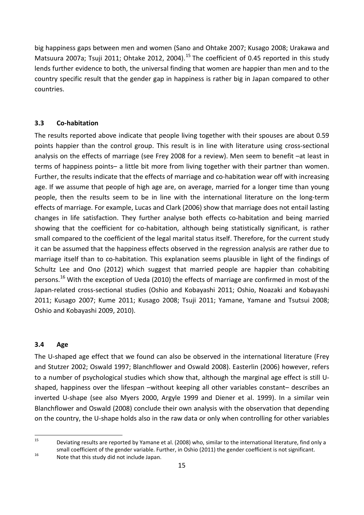big happiness gaps between men and women (Sano and Ohtake 2007; Kusago 2008; Urakawa and Matsuura 2007a; Tsuji 2011; Ohtake 2012, 2004).<sup>[15](#page-16-2)</sup> The coefficient of 0.45 reported in this study lends further evidence to both, the universal finding that women are happier than men and to the country specific result that the gender gap in happiness is rather big in Japan compared to other countries.

#### <span id="page-16-0"></span>**3.3 Co-habitation**

The results reported above indicate that people living together with their spouses are about 0.59 points happier than the control group. This result is in line with literature using cross-sectional analysis on the effects of marriage (see Frey 2008 for a review). Men seem to benefit –at least in terms of happiness points– a little bit more from living together with their partner than women. Further, the results indicate that the effects of marriage and co-habitation wear off with increasing age. If we assume that people of high age are, on average, married for a longer time than young people, then the results seem to be in line with the international literature on the long-term effects of marriage. For example, Lucas and Clark (2006) show that marriage does not entail lasting changes in life satisfaction. They further analyse both effects co-habitation and being married showing that the coefficient for co-habitation, although being statistically significant, is rather small compared to the coefficient of the legal marital status itself. Therefore, for the current study it can be assumed that the happiness effects observed in the regression analysis are rather due to marriage itself than to co-habitation. This explanation seems plausible in light of the findings of Schultz Lee and Ono (2012) which suggest that married people are happier than cohabiting persons.<sup>[16](#page-16-3)</sup> With the exception of Ueda (2010) the effects of marriage are confirmed in most of the Japan-related cross-sectional studies (Oshio and Kobayashi 2011; Oshio, Noazaki and Kobayashi 2011; Kusago 2007; Kume 2011; Kusago 2008; Tsuji 2011; Yamane, Yamane and Tsutsui 2008; Oshio and Kobayashi 2009, 2010).

#### <span id="page-16-1"></span>**3.4 Age**

The U-shaped age effect that we found can also be observed in the international literature (Frey and Stutzer 2002; Oswald 1997; Blanchflower and Oswald 2008). Easterlin (2006) however, refers to a number of psychological studies which show that, although the marginal age effect is still Ushaped, happiness over the lifespan –without keeping all other variables constant– describes an inverted U-shape (see also Myers 2000, Argyle 1999 and Diener et al. 1999). In a similar vein Blanchflower and Oswald (2008) conclude their own analysis with the observation that depending on the country, the U-shape holds also in the raw data or only when controlling for other variables

<span id="page-16-2"></span><sup>&</sup>lt;sup>15</sup> Deviating results are reported by Yamane et al. (2008) who, similar to the international literature, find only a small coefficient of the gender variable. Further, in Oshio (2011) the gender coefficient is not significant.<br><sup>16</sup> Note that this study did not include Japan.

<span id="page-16-3"></span>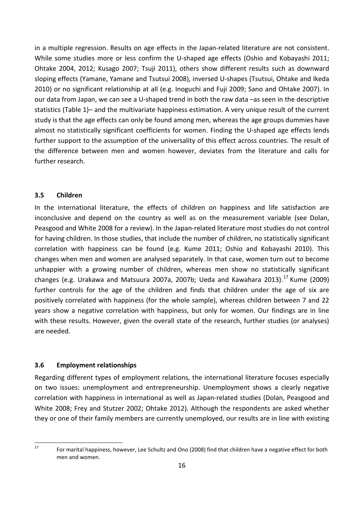in a multiple regression. Results on age effects in the Japan-related literature are not consistent. While some studies more or less confirm the U-shaped age effects (Oshio and Kobayashi 2011; Ohtake 2004, 2012; Kusago 2007; Tsuji 2011), others show different results such as downward sloping effects (Yamane, Yamane and Tsutsui 2008), inversed U-shapes (Tsutsui, Ohtake and Ikeda 2010) or no significant relationship at all (e.g. Inoguchi and Fuji 2009; Sano and Ohtake 2007). In our data from Japan, we can see a U-shaped trend in both the raw data –as seen in the descriptive statistics (Table 1)– and the multivariate happiness estimation. A very unique result of the current study is that the age effects can only be found among men, whereas the age groups dummies have almost no statistically significant coefficients for women. Finding the U-shaped age effects lends further support to the assumption of the universality of this effect across countries. The result of the difference between men and women however, deviates from the literature and calls for further research.

#### <span id="page-17-0"></span>**3.5 Children**

In the international literature, the effects of children on happiness and life satisfaction are inconclusive and depend on the country as well as on the measurement variable (see Dolan, Peasgood and White 2008 for a review). In the Japan-related literature most studies do not control for having children. In those studies, that include the number of children, no statistically significant correlation with happiness can be found (e.g. Kume 2011; Oshio and Kobayashi 2010). This changes when men and women are analysed separately. In that case, women turn out to become unhappier with a growing number of children, whereas men show no statistically significant changes (e.g. Urakawa and Matsuura 2007a, 2007b; Ueda and Kawahara 2013).<sup>[17](#page-17-2)</sup> Kume (2009) further controls for the age of the children and finds that children under the age of six are positively correlated with happiness (for the whole sample), whereas children between 7 and 22 years show a negative correlation with happiness, but only for women. Our findings are in line with these results. However, given the overall state of the research, further studies (or analyses) are needed.

#### <span id="page-17-1"></span>**3.6 Employment relationships**

Regarding different types of employment relations, the international literature focuses especially on two issues: unemployment and entrepreneurship. Unemployment shows a clearly negative correlation with happiness in international as well as Japan-related studies (Dolan, Peasgood and White 2008; Frey and Stutzer 2002; Ohtake 2012). Although the respondents are asked whether they or one of their family members are currently unemployed, our results are in line with existing

<span id="page-17-2"></span><sup>&</sup>lt;sup>17</sup> For marital happiness, however, Lee Schultz and Ono (2008) find that children have a negative effect for both men and women.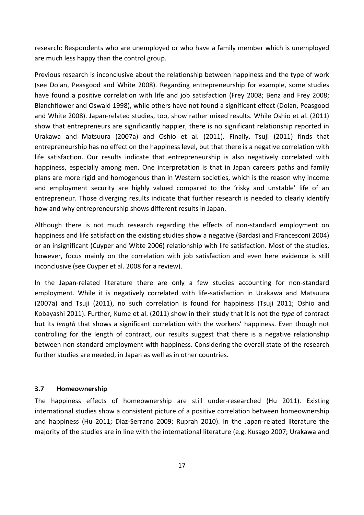research: Respondents who are unemployed or who have a family member which is unemployed are much less happy than the control group.

Previous research is inconclusive about the relationship between happiness and the type of work (see Dolan, Peasgood and White 2008). Regarding entrepreneurship for example, some studies have found a positive correlation with life and job satisfaction (Frey 2008; Benz and Frey 2008; Blanchflower and Oswald 1998), while others have not found a significant effect (Dolan, Peasgood and White 2008). Japan-related studies, too, show rather mixed results. While Oshio et al. (2011) show that entrepreneurs are significantly happier, there is no significant relationship reported in Urakawa and Matsuura (2007a) and Oshio et al. (2011). Finally, Tsuji (2011) finds that entrepreneurship has no effect on the happiness level, but that there is a negative correlation with life satisfaction. Our results indicate that entrepreneurship is also negatively correlated with happiness, especially among men. One interpretation is that in Japan careers paths and family plans are more rigid and homogenous than in Western societies, which is the reason why income and employment security are highly valued compared to the 'risky and unstable' life of an entrepreneur. Those diverging results indicate that further research is needed to clearly identify how and why entrepreneurship shows different results in Japan.

Although there is not much research regarding the effects of non-standard employment on happiness and life satisfaction the existing studies show a negative (Bardasi and Francesconi 2004) or an insignificant (Cuyper and Witte 2006) relationship with life satisfaction. Most of the studies, however, focus mainly on the correlation with job satisfaction and even here evidence is still inconclusive (see Cuyper et al. 2008 for a review).

In the Japan-related literature there are only a few studies accounting for non-standard employment. While it is negatively correlated with life-satisfaction in Urakawa and Matsuura (2007a) and Tsuji (2011), no such correlation is found for happiness (Tsuji 2011; Oshio and Kobayashi 2011). Further, Kume et al. (2011) show in their study that it is not the *type* of contract but its *length* that shows a significant correlation with the workers' happiness. Even though not controlling for the length of contract, our results suggest that there is a negative relationship between non-standard employment with happiness. Considering the overall state of the research further studies are needed, in Japan as well as in other countries.

#### <span id="page-18-0"></span>**3.7 Homeownership**

The happiness effects of homeownership are still under-researched (Hu 2011). Existing international studies show a consistent picture of a positive correlation between homeownership and happiness (Hu 2011; Diaz-Serrano 2009; Ruprah 2010). In the Japan-related literature the majority of the studies are in line with the international literature (e.g. Kusago 2007; Urakawa and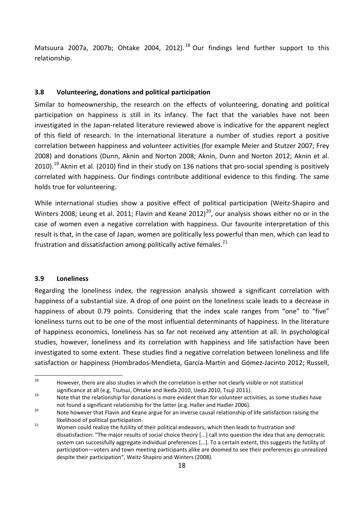Matsuura 2007a, 2007b; Ohtake 2004, 2012). $^{18}$  $^{18}$  $^{18}$  Our findings lend further support to this relationship.

#### <span id="page-19-0"></span>**3.8 Volunteering, donations and political participation**

Similar to homeownership, the research on the effects of volunteering, donating and political participation on happiness is still in its infancy. The fact that the variables have not been investigated in the Japan-related literature reviewed above is indicative for the apparent neglect of this field of research. In the international literature a number of studies report a positive correlation between happiness and volunteer activities (for example Meier and Stutzer 2007; Frey 2008) and donations (Dunn, Aknin and Norton 2008; Aknin, Dunn and Norton 2012; Aknin et al. 2010).<sup>[19](#page-19-3)</sup> Aknin et al. (2010) find in their study on 136 nations that pro-social spending is positively correlated with happiness. Our findings contribute additional evidence to this finding. The same holds true for volunteering.

While international studies show a positive effect of political participation (Weitz-Shapiro and Winters [20](#page-19-4)08; Leung et al. 2011; Flavin and Keane 2012)<sup>20</sup>, our analysis shows either no or in the case of women even a negative correlation with happiness. Our favourite interpretation of this result is that, in the case of Japan, women are politically less powerful than men, which can lead to frustration and dissatisfaction among politically active females. $^{21}$  $^{21}$  $^{21}$ 

#### <span id="page-19-1"></span>**3.9 Loneliness**

Regarding the loneliness index, the regression analysis showed a significant correlation with happiness of a substantial size. A drop of one point on the loneliness scale leads to a decrease in happiness of about 0.79 points. Considering that the index scale ranges from "one" to "five" loneliness turns out to be one of the most influential determinants of happiness. In the literature of happiness economics, loneliness has so far not received any attention at all. In psychological studies, however, loneliness and its correlation with happiness and life satisfaction have been investigated to some extent. These studies find a negative correlation between loneliness and life satisfaction or happiness (Hombrados-Mendieta, García-Martín and Gómez-Jacinto 2012; Russell,

<span id="page-19-2"></span><sup>18</sup> However, there are also studies in which the correlation is either not clearly visible or not statistical significance at all (e.g. Tsutsui, Ohtake and Ikeda 2010, Ueda 2010, Tsuji 2011).<br>19 Note that the relationship for donations is more evident than for volunteer activities, as some studies have

<span id="page-19-3"></span>not found a significant relationship for the latter (e.g. Haller and Hadler 2006).<br><sup>20</sup> Note however that Flavin and Keane argue for an inverse causal relationship of life satisfaction raising the

<span id="page-19-4"></span>likelihood of political participation.<br><sup>21</sup> Women could realize the futility of their political endeavors, which then leads to frustration and

<span id="page-19-5"></span>dissatisfaction: "The major results of social choice theory [...] call into question the idea that any democratic system can successfully aggregate individual preferences [...]. To a certain extent, this suggests the futility of participation—voters and town meeting participants alike are doomed to see their preferences go unrealized despite their participation", Weitz-Shapiro and Winters (2008).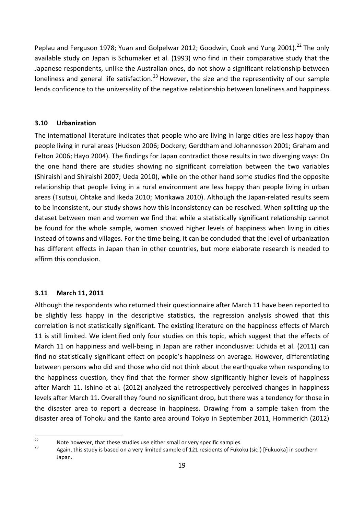Peplau and Ferguson 1978; Yuan and Golpelwar 2012; Goodwin, Cook and Yung 2001).<sup>[22](#page-20-2)</sup> The only available study on Japan is Schumaker et al. (1993) who find in their comparative study that the Japanese respondents, unlike the Australian ones, do not show a significant relationship between loneliness and general life satisfaction.<sup>[23](#page-20-3)</sup> However, the size and the representivity of our sample lends confidence to the universality of the negative relationship between loneliness and happiness.

#### <span id="page-20-0"></span>**3.10 Urbanization**

The international literature indicates that people who are living in large cities are less happy than people living in rural areas (Hudson 2006; Dockery; Gerdtham and Johannesson 2001; Graham and Felton 2006; Hayo 2004). The findings for Japan contradict those results in two diverging ways: On the one hand there are studies showing no significant correlation between the two variables (Shiraishi and Shiraishi 2007; Ueda 2010), while on the other hand some studies find the opposite relationship that people living in a rural environment are less happy than people living in urban areas (Tsutsui, Ohtake and Ikeda 2010; Morikawa 2010). Although the Japan-related results seem to be inconsistent, our study shows how this inconsistency can be resolved. When splitting up the dataset between men and women we find that while a statistically significant relationship cannot be found for the whole sample, women showed higher levels of happiness when living in cities instead of towns and villages. For the time being, it can be concluded that the level of urbanization has different effects in Japan than in other countries, but more elaborate research is needed to affirm this conclusion.

#### <span id="page-20-1"></span>**3.11 March 11, 2011**

Although the respondents who returned their questionnaire after March 11 have been reported to be slightly less happy in the descriptive statistics, the regression analysis showed that this correlation is not statistically significant. The existing literature on the happiness effects of March 11 is still limited. We identified only four studies on this topic, which suggest that the effects of March 11 on happiness and well-being in Japan are rather inconclusive: Uchida et al. (2011) can find no statistically significant effect on people's happiness on average. However, differentiating between persons who did and those who did not think about the earthquake when responding to the happiness question, they find that the former show significantly higher levels of happiness after March 11. Ishino et al. (2012) analyzed the retrospectively perceived changes in happiness levels after March 11. Overall they found no significant drop, but there was a tendency for those in the disaster area to report a decrease in happiness. Drawing from a sample taken from the disaster area of Tohoku and the Kanto area around Tokyo in September 2011, Hommerich (2012)

<span id="page-20-3"></span>

<span id="page-20-2"></span><sup>22</sup> Note however, that these studies use either small or very specific samples.<br>23 Again, this study is based on a very limited sample of 121 residents of Fukoku (sic!) [Fukuoka] in southern Japan.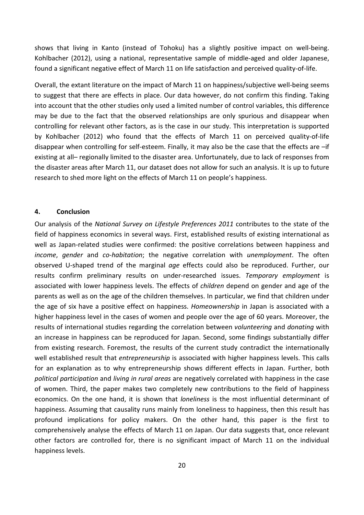shows that living in Kanto (instead of Tohoku) has a slightly positive impact on well-being. Kohlbacher (2012), using a national, representative sample of middle-aged and older Japanese, found a significant negative effect of March 11 on life satisfaction and perceived quality-of-life.

Overall, the extant literature on the impact of March 11 on happiness/subjective well-being seems to suggest that there are effects in place. Our data however, do not confirm this finding. Taking into account that the other studies only used a limited number of control variables, this difference may be due to the fact that the observed relationships are only spurious and disappear when controlling for relevant other factors, as is the case in our study. This interpretation is supported by Kohlbacher (2012) who found that the effects of March 11 on perceived quality-of-life disappear when controlling for self-esteem. Finally, it may also be the case that the effects are –if existing at all– regionally limited to the disaster area. Unfortunately, due to lack of responses from the disaster areas after March 11, our dataset does not allow for such an analysis. It is up to future research to shed more light on the effects of March 11 on people's happiness.

#### <span id="page-21-0"></span>**4. Conclusion**

Our analysis of the *National Survey on Lifestyle Preferences 2011* contributes to the state of the field of happiness economics in several ways. First, established results of existing international as well as Japan-related studies were confirmed: the positive correlations between happiness and *income*, *gender* and *co-habitation*; the negative correlation with *unemployment*. The often observed U-shaped trend of the marginal *age* effects could also be reproduced. Further, our results confirm preliminary results on under-researched issues. *Temporary employment* is associated with lower happiness levels. The effects of *children* depend on gender and age of the parents as well as on the age of the children themselves. In particular, we find that children under the age of six have a positive effect on happiness. *Homeownership* in Japan is associated with a higher happiness level in the cases of women and people over the age of 60 years. Moreover, the results of international studies regarding the correlation between *volunteering* and *donating* with an increase in happiness can be reproduced for Japan. Second, some findings substantially differ from existing research. Foremost, the results of the current study contradict the internationally well established result that *entrepreneurship* is associated with higher happiness levels. This calls for an explanation as to why entrepreneurship shows different effects in Japan. Further, both *political participation* and *living in rural areas* are negatively correlated with happiness in the case of women. Third, the paper makes two completely new contributions to the field of happiness economics. On the one hand, it is shown that *loneliness* is the most influential determinant of happiness. Assuming that causality runs mainly from loneliness to happiness, then this result has profound implications for policy makers. On the other hand, this paper is the first to comprehensively analyse the effects of March 11 on Japan. Our data suggests that, once relevant other factors are controlled for, there is no significant impact of March 11 on the individual happiness levels.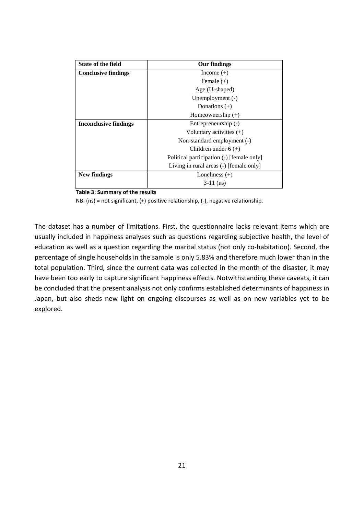| <b>State of the field</b>    | Our findings                              |  |  |  |
|------------------------------|-------------------------------------------|--|--|--|
| <b>Conclusive findings</b>   | Income $(+)$                              |  |  |  |
|                              | Female $(+)$                              |  |  |  |
|                              | Age (U-shaped)                            |  |  |  |
|                              | Unemployment (-)                          |  |  |  |
|                              | Donations $(+)$                           |  |  |  |
|                              | Homeownership $(+)$                       |  |  |  |
| <b>Inconclusive findings</b> | Entrepreneurship (-)                      |  |  |  |
|                              | Voluntary activities $(+)$                |  |  |  |
|                              | Non-standard employment (-)               |  |  |  |
|                              | Children under $6 (+)$                    |  |  |  |
|                              | Political participation (-) [female only] |  |  |  |
|                              | Living in rural areas (-) [female only]   |  |  |  |
| New findings                 | Loneliness $(+)$                          |  |  |  |
|                              | $3-11$ (ns)                               |  |  |  |

**Table 3: Summary of the results**

NB: (ns) = not significant, (+) positive relationship, (-), negative relationship.

The dataset has a number of limitations. First, the questionnaire lacks relevant items which are usually included in happiness analyses such as questions regarding subjective health, the level of education as well as a question regarding the marital status (not only co-habitation). Second, the percentage of single households in the sample is only 5.83% and therefore much lower than in the total population. Third, since the current data was collected in the month of the disaster, it may have been too early to capture significant happiness effects. Notwithstanding these caveats, it can be concluded that the present analysis not only confirms established determinants of happiness in Japan, but also sheds new light on ongoing discourses as well as on new variables yet to be explored.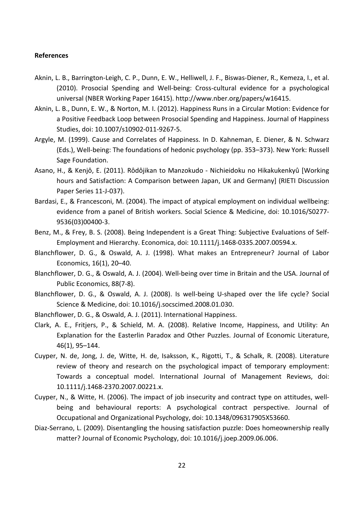#### <span id="page-23-0"></span>**References**

- Aknin, L. B., Barrington-Leigh, C. P., Dunn, E. W., Helliwell, J. F., Biswas-Diener, R., Kemeza, I., et al. (2010). Prosocial Spending and Well-being: Cross-cultural evidence for a psychological universal (NBER Working Paper 16415). http://www.nber.org/papers/w16415.
- Aknin, L. B., Dunn, E. W., & Norton, M. I. (2012). Happiness Runs in a Circular Motion: Evidence for a Positive Feedback Loop between Prosocial Spending and Happiness. Journal of Happiness Studies, doi: 10.1007/s10902-011-9267-5.
- Argyle, M. (1999). Cause and Correlates of Happiness. In D. Kahneman, E. Diener, & N. Schwarz (Eds.), Well-being: The foundations of hedonic psychology (pp. 353–373). New York: Russell Sage Foundation.
- Asano, H., & Kenjô, E. (2011). Rôdôjikan to Manzokudo Nichieidoku no Hikakukenkyû [Working hours and Satisfaction: A Comparison between Japan, UK and Germany] (RIETI Discussion Paper Series 11-J-037).
- Bardasi, E., & Francesconi, M. (2004). The impact of atypical employment on individual wellbeing: evidence from a panel of British workers. Social Science & Medicine, doi: 10.1016/S0277- 9536(03)00400-3.
- Benz, M., & Frey, B. S. (2008). Being Independent is a Great Thing: Subjective Evaluations of Self-Employment and Hierarchy. Economica, doi: 10.1111/j.1468-0335.2007.00594.x.
- Blanchflower, D. G., & Oswald, A. J. (1998). What makes an Entrepreneur? Journal of Labor Economics, 16(1), 20–40.
- Blanchflower, D. G., & Oswald, A. J. (2004). Well-being over time in Britain and the USA. Journal of Public Economics, 88(7-8).
- Blanchflower, D. G., & Oswald, A. J. (2008). Is well-being U-shaped over the life cycle? Social Science & Medicine, doi: 10.1016/j.socscimed.2008.01.030.
- Blanchflower, D. G., & Oswald, A. J. (2011). International Happiness.
- Clark, A. E., Fritjers, P., & Schield, M. A. (2008). Relative Income, Happiness, and Utility: An Explanation for the Easterlin Paradox and Other Puzzles. Journal of Economic Literature, 46(1), 95–144.
- Cuyper, N. de, Jong, J. de, Witte, H. de, Isaksson, K., Rigotti, T., & Schalk, R. (2008). Literature review of theory and research on the psychological impact of temporary employment: Towards a conceptual model. International Journal of Management Reviews, doi: 10.1111/j.1468-2370.2007.00221.x.
- Cuyper, N., & Witte, H. (2006). The impact of job insecurity and contract type on attitudes, wellbeing and behavioural reports: A psychological contract perspective. Journal of Occupational and Organizational Psychology, doi: 10.1348/096317905X53660.
- Diaz-Serrano, L. (2009). Disentangling the housing satisfaction puzzle: Does homeownership really matter? Journal of Economic Psychology, doi: 10.1016/j.joep.2009.06.006.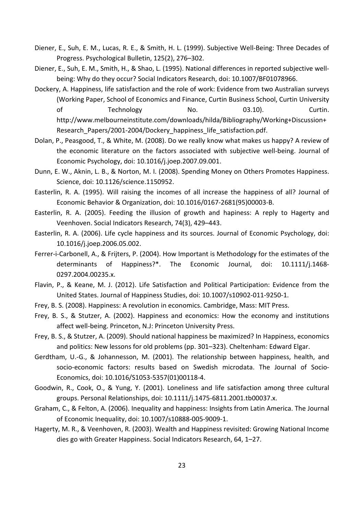- Diener, E., Suh, E. M., Lucas, R. E., & Smith, H. L. (1999). Subjective Well-Being: Three Decades of Progress. Psychological Bulletin, 125(2), 276–302.
- Diener, E., Suh, E. M., Smith, H., & Shao, L. (1995). National differences in reported subjective wellbeing: Why do they occur? Social Indicators Research, doi: 10.1007/BF01078966.
- Dockery, A. Happiness, life satisfaction and the role of work: Evidence from two Australian surveys (Working Paper, School of Economics and Finance, Curtin Business School, Curtin University of Technology No. 03.10). Curtin. http://www.melbourneinstitute.com/downloads/hilda/Bibliography/Working+Discussion+ Research\_Papers/2001-2004/Dockery\_happiness\_life\_satisfaction.pdf.
- Dolan, P., Peasgood, T., & White, M. (2008). Do we really know what makes us happy? A review of the economic literature on the factors associated with subjective well-being. Journal of Economic Psychology, doi: 10.1016/j.joep.2007.09.001.
- Dunn, E. W., Aknin, L. B., & Norton, M. I. (2008). Spending Money on Others Promotes Happiness. Science, doi: 10.1126/science.1150952.
- Easterlin, R. A. (1995). Will raising the incomes of all increase the happiness of all? Journal of Economic Behavior & Organization, doi: 10.1016/0167-2681(95)00003-B.
- Easterlin, R. A. (2005). Feeding the illusion of growth and hapiness: A reply to Hagerty and Veenhoven. Social Indicators Research, 74(3), 429–443.
- Easterlin, R. A. (2006). Life cycle happiness and its sources. Journal of Economic Psychology, doi: 10.1016/j.joep.2006.05.002.
- Ferrer-i-Carbonell, A., & Frijters, P. (2004). How Important is Methodology for the estimates of the determinants of Happiness?\*. The Economic Journal, doi: 10.1111/j.1468- 0297.2004.00235.x.
- Flavin, P., & Keane, M. J. (2012). Life Satisfaction and Political Participation: Evidence from the United States. Journal of Happiness Studies, doi: 10.1007/s10902-011-9250-1.
- Frey, B. S. (2008). Happiness: A revolution in economics. Cambridge, Mass: MIT Press.
- Frey, B. S., & Stutzer, A. (2002). Happiness and economics: How the economy and institutions affect well-being. Princeton, N.J: Princeton University Press.
- Frey, B. S., & Stutzer, A. (2009). Should national happiness be maximized? In Happiness, economics and politics: New lessons for old problems (pp. 301–323). Cheltenham: Edward Elgar.
- Gerdtham, U.-G., & Johannesson, M. (2001). The relationship between happiness, health, and socio-economic factors: results based on Swedish microdata. The Journal of Socio-Economics, doi: 10.1016/S1053-5357(01)00118-4.
- Goodwin, R., Cook, O., & Yung, Y. (2001). Loneliness and life satisfaction among three cultural groups. Personal Relationships, doi: 10.1111/j.1475-6811.2001.tb00037.x.
- Graham, C., & Felton, A. (2006). Inequality and happiness: Insights from Latin America. The Journal of Economic Inequality, doi: 10.1007/s10888-005-9009-1.
- Hagerty, M. R., & Veenhoven, R. (2003). Wealth and Happiness revisited: Growing National Income dies go with Greater Happiness. Social Indicators Research, 64, 1–27.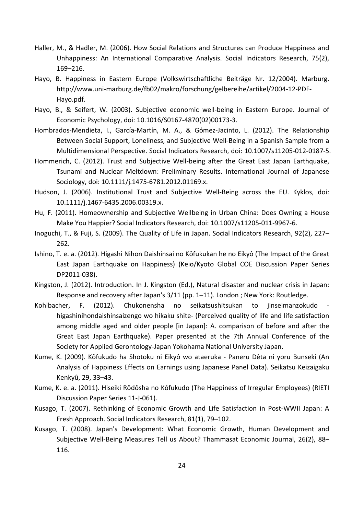- Haller, M., & Hadler, M. (2006). How Social Relations and Structures can Produce Happiness and Unhappiness: An International Comparative Analysis. Social Indicators Research, 75(2), 169–216.
- Hayo, B. Happiness in Eastern Europe (Volkswirtschaftliche Beiträge Nr. 12/2004). Marburg. http://www.uni-marburg.de/fb02/makro/forschung/gelbereihe/artikel/2004-12-PDF-Hayo.pdf.
- Hayo, B., & Seifert, W. (2003). Subjective economic well-being in Eastern Europe. Journal of Economic Psychology, doi: 10.1016/S0167-4870(02)00173-3.
- Hombrados-Mendieta, I., García-Martín, M. A., & Gómez-Jacinto, L. (2012). The Relationship Between Social Support, Loneliness, and Subjective Well-Being in a Spanish Sample from a Multidimensional Perspective. Social Indicators Research, doi: 10.1007/s11205-012-0187-5.
- Hommerich, C. (2012). Trust and Subjective Well-being after the Great East Japan Earthquake, Tsunami and Nuclear Meltdown: Preliminary Results. International Journal of Japanese Sociology, doi: 10.1111/j.1475-6781.2012.01169.x.
- Hudson, J. (2006). Institutional Trust and Subjective Well-Being across the EU. Kyklos, doi: 10.1111/j.1467-6435.2006.00319.x.
- Hu, F. (2011). Homeownership and Subjective Wellbeing in Urban China: Does Owning a House Make You Happier? Social Indicators Research, doi: 10.1007/s11205-011-9967-6.
- Inoguchi, T., & Fuji, S. (2009). The Quality of Life in Japan. Social Indicators Research, 92(2), 227– 262.
- Ishino, T. e. a. (2012). Higashi Nihon Daishinsai no Kôfukukan he no Eikyô (The Impact of the Great East Japan Earthquake on Happiness) (Keio/Kyoto Global COE Discussion Paper Series DP2011-038).
- Kingston, J. (2012). Introduction. In J. Kingston (Ed.), Natural disaster and nuclear crisis in Japan: Response and recovery after Japan's 3/11 (pp. 1–11). London ; New York: Routledge.
- Kohlbacher, F. (2012). Chukonensha no seikatsushitsukan to jinseimanzokudo higashinihondaishinsaizengo wo hikaku shite- (Perceived quality of life and life satisfaction among middle aged and older people [in Japan]: A. comparison of before and after the Great East Japan Earthquake). Paper presented at the 7th Annual Conference of the Society for Applied Gerontology-Japan Yokohama National University Japan.
- Kume, K. (2009). Kôfukudo ha Shotoku ni Eikyô wo ataeruka Paneru Dêta ni yoru Bunseki (An Analysis of Happiness Effects on Earnings using Japanese Panel Data). Seikatsu Keizaigaku Kenkyû, 29, 33–43.
- Kume, K. e. a. (2011). Hiseiki Rôdôsha no Kôfukudo (The Happiness of Irregular Employees) (RIETI Discussion Paper Series 11-J-061).
- Kusago, T. (2007). Rethinking of Economic Growth and Life Satisfaction in Post-WWII Japan: A Fresh Approach. Social Indicators Research, 81(1), 79–102.
- Kusago, T. (2008). Japan's Development: What Economic Growth, Human Development and Subjective Well-Being Measures Tell us About? Thammasat Economic Journal, 26(2), 88– 116.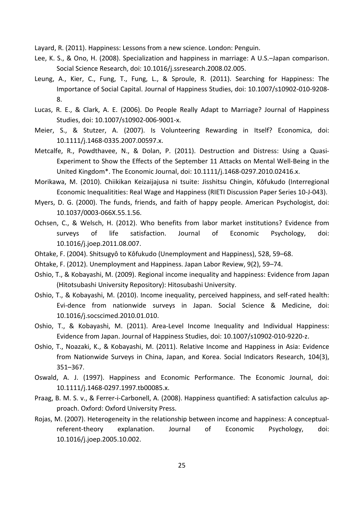Layard, R. (2011). Happiness: Lessons from a new science. London: Penguin.

- Lee, K. S., & Ono, H. (2008). Specialization and happiness in marriage: A U.S.–Japan comparison. Social Science Research, doi: 10.1016/j.ssresearch.2008.02.005.
- Leung, A., Kier, C., Fung, T., Fung, L., & Sproule, R. (2011). Searching for Happiness: The Importance of Social Capital. Journal of Happiness Studies, doi: 10.1007/s10902-010-9208- 8.
- Lucas, R. E., & Clark, A. E. (2006). Do People Really Adapt to Marriage? Journal of Happiness Studies, doi: 10.1007/s10902-006-9001-x.
- Meier, S., & Stutzer, A. (2007). Is Volunteering Rewarding in Itself? Economica, doi: 10.1111/j.1468-0335.2007.00597.x.
- Metcalfe, R., Powdthavee, N., & Dolan, P. (2011). Destruction and Distress: Using a Quasi-Experiment to Show the Effects of the September 11 Attacks on Mental Well-Being in the United Kingdom\*. The Economic Journal, doi: 10.1111/j.1468-0297.2010.02416.x.
- Morikawa, M. (2010). Chiikikan Keizaijajusa ni tsuite: Jisshitsu Chingin, Kôfukudo (Interregional Economic Inequalitities: Real Wage and Happiness (RIETI Discussion Paper Series 10-J-043).
- Myers, D. G. (2000). The funds, friends, and faith of happy people. American Psychologist, doi: 10.1037/0003-066X.55.1.56.
- Ochsen, C., & Welsch, H. (2012). Who benefits from labor market institutions? Evidence from surveys of life satisfaction. Journal of Economic Psychology, doi: 10.1016/j.joep.2011.08.007.
- Ohtake, F. (2004). Shitsugyô to Kôfukudo (Unemployment and Happiness), 528, 59–68.
- Ohtake, F. (2012). Unemployment and Happiness. Japan Labor Review, 9(2), 59–74.
- Oshio, T., & Kobayashi, M. (2009). Regional income inequality and happiness: Evidence from Japan (Hitotsubashi University Repository): Hitosubashi University.
- Oshio, T., & Kobayashi, M. (2010). Income inequality, perceived happiness, and self-rated health: Evi-dence from nationwide surveys in Japan. Social Science & Medicine, doi: 10.1016/j.socscimed.2010.01.010.
- Oshio, T., & Kobayashi, M. (2011). Area-Level Income Inequality and Individual Happiness: Evidence from Japan. Journal of Happiness Studies, doi: 10.1007/s10902-010-9220-z.
- Oshio, T., Noazaki, K., & Kobayashi, M. (2011). Relative Income and Happiness in Asia: Evidence from Nationwide Surveys in China, Japan, and Korea. Social Indicators Research, 104(3), 351–367.
- Oswald, A. J. (1997). Happiness and Economic Performance. The Economic Journal, doi: 10.1111/j.1468-0297.1997.tb00085.x.
- Praag, B. M. S. v., & Ferrer-i-Carbonell, A. (2008). Happiness quantified: A satisfaction calculus approach. Oxford: Oxford University Press.
- Rojas, M. (2007). Heterogeneity in the relationship between income and happiness: A conceptualreferent-theory explanation. Journal of Economic Psychology, doi: 10.1016/j.joep.2005.10.002.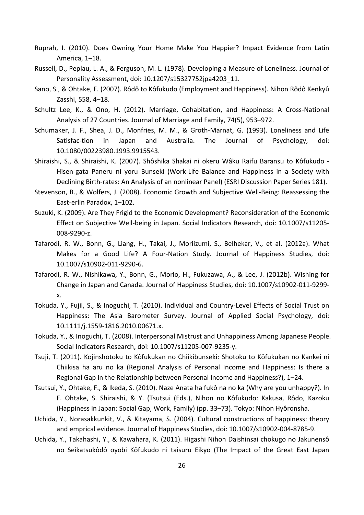- Ruprah, I. (2010). Does Owning Your Home Make You Happier? Impact Evidence from Latin America, 1–18.
- Russell, D., Peplau, L. A., & Ferguson, M. L. (1978). Developing a Measure of Loneliness. Journal of Personality Assessment, doi: 10.1207/s15327752jpa4203\_11.
- Sano, S., & Ohtake, F. (2007). Rôdô to Kôfukudo (Employment and Happiness). Nihon Rôdô Kenkyû Zasshi, 558, 4–18.
- Schultz Lee, K., & Ono, H. (2012). Marriage, Cohabitation, and Happiness: A Cross-National Analysis of 27 Countries. Journal of Marriage and Family, 74(5), 953–972.
- Schumaker, J. F., Shea, J. D., Monfries, M. M., & Groth-Marnat, G. (1993). Loneliness and Life Satisfac-tion in Japan and Australia. The Journal of Psychology, doi: 10.1080/00223980.1993.9915543.
- Shiraishi, S., & Shiraishi, K. (2007). Shôshika Shakai ni okeru Wâku Raifu Baransu to Kôfukudo Hisen-gata Paneru ni yoru Bunseki (Work-Life Balance and Happiness in a Society with Declining Birth-rates: An Analysis of an nonlinear Panel) (ESRI Discussion Paper Series 181).
- Stevenson, B., & Wolfers, J. (2008). Economic Growth and Subjective Well-Being: Reassessing the East-erlin Paradox, 1–102.
- Suzuki, K. (2009). Are They Frigid to the Economic Development? Reconsideration of the Economic Effect on Subjective Well-being in Japan. Social Indicators Research, doi: 10.1007/s11205- 008-9290-z.
- Tafarodi, R. W., Bonn, G., Liang, H., Takai, J., Moriizumi, S., Belhekar, V., et al. (2012a). What Makes for a Good Life? A Four-Nation Study. Journal of Happiness Studies, doi: 10.1007/s10902-011-9290-6.
- Tafarodi, R. W., Nishikawa, Y., Bonn, G., Morio, H., Fukuzawa, A., & Lee, J. (2012b). Wishing for Change in Japan and Canada. Journal of Happiness Studies, doi: 10.1007/s10902-011-9299 x.
- Tokuda, Y., Fujii, S., & Inoguchi, T. (2010). Individual and Country-Level Effects of Social Trust on Happiness: The Asia Barometer Survey. Journal of Applied Social Psychology, doi: 10.1111/j.1559-1816.2010.00671.x.
- Tokuda, Y., & Inoguchi, T. (2008). Interpersonal Mistrust and Unhappiness Among Japanese People. Social Indicators Research, doi: 10.1007/s11205-007-9235-y.
- Tsuji, T. (2011). Kojinshotoku to Kôfukukan no Chiikibunseki: Shotoku to Kôfukukan no Kankei ni Chiikisa ha aru no ka (Regional Analysis of Personal Income and Happiness: Is there a Regional Gap in the Relationship between Personal Income and Happiness?), 1–24.
- Tsutsui, Y., Ohtake, F., & Ikeda, S. (2010). Naze Anata ha fukô na no ka (Why are you unhappy?). In F. Ohtake, S. Shiraishi, & Y. (Tsutsui (Eds.), Nihon no Kôfukudo: Kakusa, Rôdo, Kazoku (Happiness in Japan: Social Gap, Work, Family) (pp. 33–73). Tokyo: Nihon Hyôronsha.
- Uchida, Y., Norasakkunkit, V., & Kitayama, S. (2004). Cultural constructions of happiness: theory and emprical evidence. Journal of Happiness Studies, doi: 10.1007/s10902-004-8785-9.
- Uchida, Y., Takahashi, Y., & Kawahara, K. (2011). Higashi Nihon Daishinsai chokugo no Jakunensô no Seikatsukôdô oyobi Kôfukudo ni taisuru Eikyo (The Impact of the Great East Japan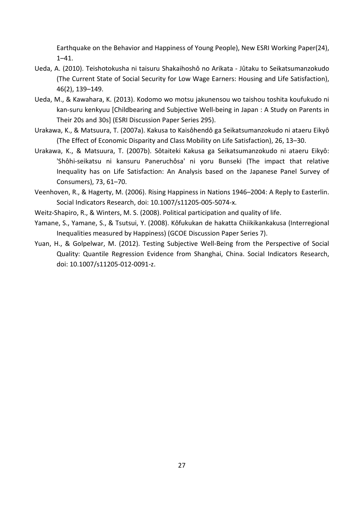Earthquake on the Behavior and Happiness of Young People), New ESRI Working Paper(24), 1–41.

- Ueda, A. (2010). Teishotokusha ni taisuru Shakaihoshô no Arikata Jûtaku to Seikatsumanzokudo (The Current State of Social Security for Low Wage Earners: Housing and Life Satisfaction), 46(2), 139–149.
- Ueda, M., & Kawahara, K. (2013). Kodomo wo motsu jakunensou wo taishou toshita koufukudo ni kan-suru kenkyuu [Childbearing and Subjective Well-being in Japan : A Study on Parents in Their 20s and 30s] (ESRI Discussion Paper Series 295).
- Urakawa, K., & Matsuura, T. (2007a). Kakusa to Kaisôhendô ga Seikatsumanzokudo ni ataeru Eikyô (The Effect of Economic Disparity and Class Mobility on Life Satisfaction), 26, 13–30.
- Urakawa, K., & Matsuura, T. (2007b). Sôtaiteki Kakusa ga Seikatsumanzokudo ni ataeru Eikyô: 'Shôhi-seikatsu ni kansuru Paneruchôsa' ni yoru Bunseki (The impact that relative Inequality has on Life Satisfaction: An Analysis based on the Japanese Panel Survey of Consumers), 73, 61–70.
- Veenhoven, R., & Hagerty, M. (2006). Rising Happiness in Nations 1946–2004: A Reply to Easterlin. Social Indicators Research, doi: 10.1007/s11205-005-5074-x.
- Weitz-Shapiro, R., & Winters, M. S. (2008). Political participation and quality of life.
- Yamane, S., Yamane, S., & Tsutsui, Y. (2008). Kôfukukan de hakatta Chiikikankakusa (Interregional Inequalities measured by Happiness) (GCOE Discussion Paper Series 7).
- Yuan, H., & Golpelwar, M. (2012). Testing Subjective Well-Being from the Perspective of Social Quality: Quantile Regression Evidence from Shanghai, China. Social Indicators Research, doi: 10.1007/s11205-012-0091-z.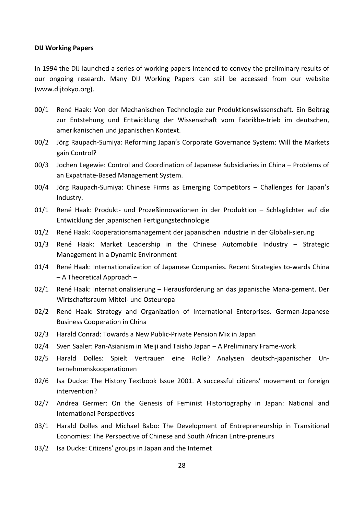#### **DIJ Working Papers**

In 1994 the DIJ launched a series of working papers intended to convey the preliminary results of our ongoing research. Many DIJ Working Papers can still be accessed from our website (www.dijtokyo.org).

- 00/1 René Haak: Von der Mechanischen Technologie zur Produktionswissenschaft. Ein Beitrag zur Entstehung und Entwicklung der Wissenschaft vom Fabrikbe-trieb im deutschen, amerikanischen und japanischen Kontext.
- 00/2 Jörg Raupach-Sumiya: Reforming Japan's Corporate Governance System: Will the Markets gain Control?
- 00/3 Jochen Legewie: Control and Coordination of Japanese Subsidiaries in China Problems of an Expatriate-Based Management System.
- 00/4 Jörg Raupach-Sumiya: Chinese Firms as Emerging Competitors Challenges for Japan's Industry.
- 01/1 René Haak: Produkt- und Prozeßinnovationen in der Produktion Schlaglichter auf die Entwicklung der japanischen Fertigungstechnologie
- 01/2 René Haak: Kooperationsmanagement der japanischen Industrie in der Globali-sierung
- 01/3 René Haak: Market Leadership in the Chinese Automobile Industry Strategic Management in a Dynamic Environment
- 01/4 René Haak: Internationalization of Japanese Companies. Recent Strategies to-wards China – A Theoretical Approach –
- 02/1 René Haak: Internationalisierung Herausforderung an das japanische Mana-gement. Der Wirtschaftsraum Mittel- und Osteuropa
- 02/2 René Haak: Strategy and Organization of International Enterprises. German-Japanese Business Cooperation in China
- 02/3 Harald Conrad: Towards a New Public-Private Pension Mix in Japan
- 02/4 Sven Saaler: Pan-Asianism in Meiji and Taishō Japan A Preliminary Frame-work
- 02/5 Harald Dolles: Spielt Vertrauen eine Rolle? Analysen deutsch-japanischer Unternehmenskooperationen
- 02/6 Isa Ducke: The History Textbook Issue 2001. A successful citizens' movement or foreign intervention?
- 02/7 Andrea Germer: On the Genesis of Feminist Historiography in Japan: National and International Perspectives
- 03/1 Harald Dolles and Michael Babo: The Development of Entrepreneurship in Transitional Economies: The Perspective of Chinese and South African Entre-preneurs
- 03/2 Isa Ducke: Citizens' groups in Japan and the Internet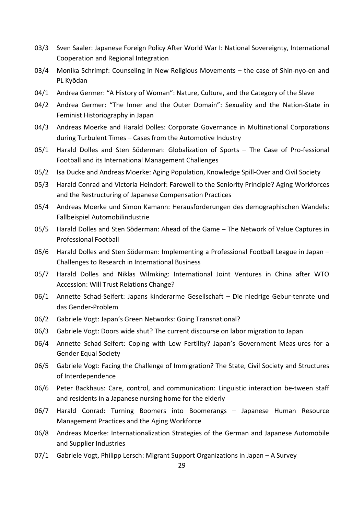- 03/3 Sven Saaler: Japanese Foreign Policy After World War I: National Sovereignty, International Cooperation and Regional Integration
- 03/4 Monika Schrimpf: Counseling in New Religious Movements the case of Shin-nyo-en and PL Kyōdan
- 04/1 Andrea Germer: "A History of Woman": Nature, Culture, and the Category of the Slave
- 04/2 Andrea Germer: "The Inner and the Outer Domain": Sexuality and the Nation-State in Feminist Historiography in Japan
- 04/3 Andreas Moerke and Harald Dolles: Corporate Governance in Multinational Corporations during Turbulent Times – Cases from the Automotive Industry
- 05/1 Harald Dolles and Sten Söderman: Globalization of Sports The Case of Pro-fessional Football and its International Management Challenges
- 05/2 Isa Ducke and Andreas Moerke: Aging Population, Knowledge Spill-Over and Civil Society
- 05/3 Harald Conrad and Victoria Heindorf: Farewell to the Seniority Principle? Aging Workforces and the Restructuring of Japanese Compensation Practices
- 05/4 Andreas Moerke und Simon Kamann: Herausforderungen des demographischen Wandels: Fallbeispiel Automobilindustrie
- 05/5 Harald Dolles and Sten Söderman: Ahead of the Game The Network of Value Captures in Professional Football
- 05/6 Harald Dolles and Sten Söderman: Implementing a Professional Football League in Japan Challenges to Research in International Business
- 05/7 Harald Dolles and Niklas Wilmking: International Joint Ventures in China after WTO Accession: Will Trust Relations Change?
- 06/1 Annette Schad-Seifert: Japans kinderarme Gesellschaft Die niedrige Gebur-tenrate und das Gender-Problem
- 06/2 Gabriele Vogt: Japan's Green Networks: Going Transnational?
- 06/3 Gabriele Vogt: Doors wide shut? The current discourse on labor migration to Japan
- 06/4 Annette Schad-Seifert: Coping with Low Fertility? Japan's Government Meas-ures for a Gender Equal Society
- 06/5 Gabriele Vogt: Facing the Challenge of Immigration? The State, Civil Society and Structures of Interdependence
- 06/6 Peter Backhaus: Care, control, and communication: Linguistic interaction be-tween staff and residents in a Japanese nursing home for the elderly
- 06/7 Harald Conrad: Turning Boomers into Boomerangs Japanese Human Resource Management Practices and the Aging Workforce
- 06/8 Andreas Moerke: Internationalization Strategies of the German and Japanese Automobile and Supplier Industries
- 07/1 Gabriele Vogt, Philipp Lersch: Migrant Support Organizations in Japan A Survey